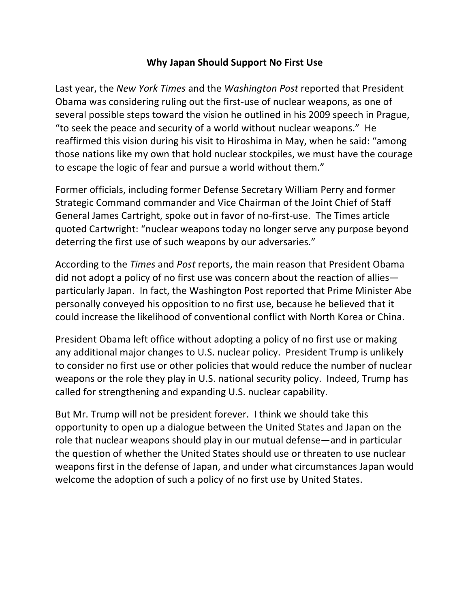## **Why Japan Should Support No First Use**

Last year, the *New York Times* and the *Washington Post* reported that President Obama was considering ruling out the first-use of nuclear weapons, as one of several possible steps toward the vision he outlined in his 2009 speech in Prague, "to seek the peace and security of a world without nuclear weapons." He reaffirmed this vision during his visit to Hiroshima in May, when he said: "among those nations like my own that hold nuclear stockpiles, we must have the courage to escape the logic of fear and pursue a world without them."

Former officials, including former Defense Secretary William Perry and former Strategic Command commander and Vice Chairman of the Joint Chief of Staff General James Cartright, spoke out in favor of no-first-use. The Times article quoted Cartwright: "nuclear weapons today no longer serve any purpose beyond deterring the first use of such weapons by our adversaries."

According to the *Times* and *Post* reports, the main reason that President Obama did not adopt a policy of no first use was concern about the reaction of allies particularly Japan. In fact, the Washington Post reported that Prime Minister Abe personally conveyed his opposition to no first use, because he believed that it could increase the likelihood of conventional conflict with North Korea or China.

President Obama left office without adopting a policy of no first use or making any additional major changes to U.S. nuclear policy. President Trump is unlikely to consider no first use or other policies that would reduce the number of nuclear weapons or the role they play in U.S. national security policy. Indeed, Trump has called for strengthening and expanding U.S. nuclear capability.

But Mr. Trump will not be president forever. I think we should take this opportunity to open up a dialogue between the United States and Japan on the role that nuclear weapons should play in our mutual defense—and in particular the question of whether the United States should use or threaten to use nuclear weapons first in the defense of Japan, and under what circumstances Japan would welcome the adoption of such a policy of no first use by United States.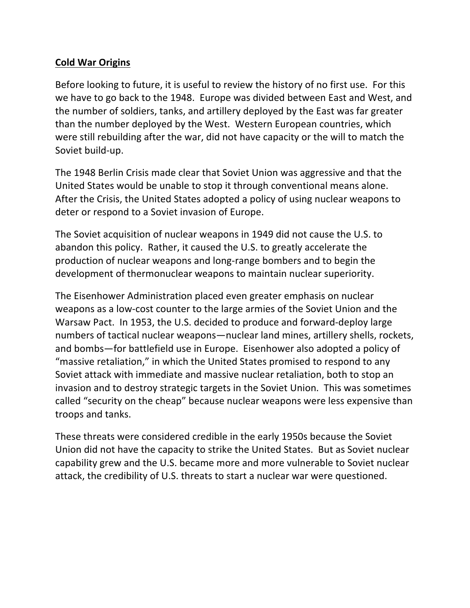# **Cold War Origins**

Before looking to future, it is useful to review the history of no first use. For this we have to go back to the 1948. Europe was divided between East and West, and the number of soldiers, tanks, and artillery deployed by the East was far greater than the number deployed by the West. Western European countries, which were still rebuilding after the war, did not have capacity or the will to match the Soviet build-up.

The 1948 Berlin Crisis made clear that Soviet Union was aggressive and that the United States would be unable to stop it through conventional means alone. After the Crisis, the United States adopted a policy of using nuclear weapons to deter or respond to a Soviet invasion of Europe.

The Soviet acquisition of nuclear weapons in 1949 did not cause the U.S. to abandon this policy. Rather, it caused the U.S. to greatly accelerate the production of nuclear weapons and long-range bombers and to begin the development of thermonuclear weapons to maintain nuclear superiority.

The Eisenhower Administration placed even greater emphasis on nuclear weapons as a low-cost counter to the large armies of the Soviet Union and the Warsaw Pact. In 1953, the U.S. decided to produce and forward-deploy large numbers of tactical nuclear weapons—nuclear land mines, artillery shells, rockets, and bombs—for battlefield use in Europe. Eisenhower also adopted a policy of "massive retaliation," in which the United States promised to respond to any Soviet attack with immediate and massive nuclear retaliation, both to stop an invasion and to destroy strategic targets in the Soviet Union. This was sometimes called "security on the cheap" because nuclear weapons were less expensive than troops and tanks.

These threats were considered credible in the early 1950s because the Soviet Union did not have the capacity to strike the United States. But as Soviet nuclear capability grew and the U.S. became more and more vulnerable to Soviet nuclear attack, the credibility of U.S. threats to start a nuclear war were questioned.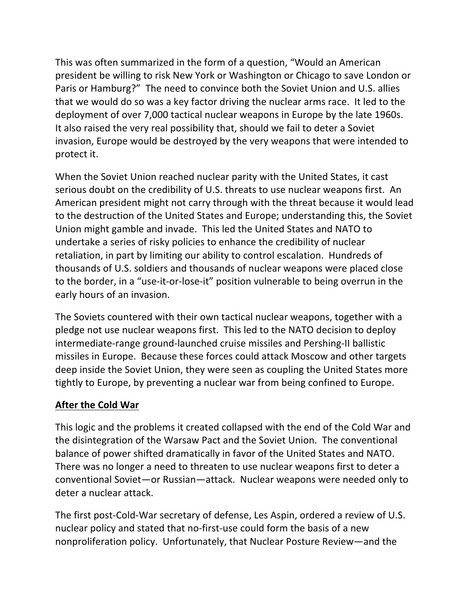This was often summarized in the form of a question, "Would an American president be willing to risk New York or Washington or Chicago to save London or Paris or Hamburg?" The need to convince both the Soviet Union and U.S. allies that we would do so was a key factor driving the nuclear arms race. It led to the deployment of over 7,000 tactical nuclear weapons in Europe by the late 1960s. It also raised the very real possibility that, should we fail to deter a Soviet invasion, Europe would be destroyed by the very weapons that were intended to protect it.

When the Soviet Union reached nuclear parity with the United States, it cast serious doubt on the credibility of U.S. threats to use nuclear weapons first. An American president might not carry through with the threat because it would lead to the destruction of the United States and Europe; understanding this, the Soviet Union might gamble and invade. This led the United States and NATO to undertake a series of risky policies to enhance the credibility of nuclear retaliation, in part by limiting our ability to control escalation. Hundreds of thousands of U.S. soldiers and thousands of nuclear weapons were placed close to the border, in a "use-it-or-lose-it" position vulnerable to being overrun in the early hours of an invasion.

The Soviets countered with their own tactical nuclear weapons, together with a pledge not use nuclear weapons first. This led to the NATO decision to deploy intermediate-range ground-launched cruise missiles and Pershing-II ballistic missiles in Europe. Because these forces could attack Moscow and other targets deep inside the Soviet Union, they were seen as coupling the United States more tightly to Europe, by preventing a nuclear war from being confined to Europe.

# **After the Cold War**

This logic and the problems it created collapsed with the end of the Cold War and the disintegration of the Warsaw Pact and the Soviet Union. The conventional balance of power shifted dramatically in favor of the United States and NATO. There was no longer a need to threaten to use nuclear weapons first to deter a conventional Soviet—or Russian—attack. Nuclear weapons were needed only to deter a nuclear attack.

The first post-Cold-War secretary of defense, Les Aspin, ordered a review of U.S. nuclear policy and stated that no-first-use could form the basis of a new nonproliferation policy. Unfortunately, that Nuclear Posture Review—and the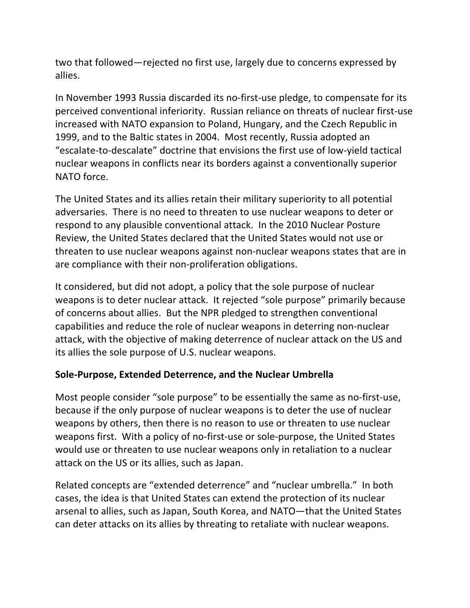two that followed—rejected no first use, largely due to concerns expressed by allies. 

In November 1993 Russia discarded its no-first-use pledge, to compensate for its perceived conventional inferiority. Russian reliance on threats of nuclear first-use increased with NATO expansion to Poland, Hungary, and the Czech Republic in 1999, and to the Baltic states in 2004. Most recently, Russia adopted an "escalate-to-descalate" doctrine that envisions the first use of low-yield tactical nuclear weapons in conflicts near its borders against a conventionally superior NATO force.

The United States and its allies retain their military superiority to all potential adversaries. There is no need to threaten to use nuclear weapons to deter or respond to any plausible conventional attack. In the 2010 Nuclear Posture Review, the United States declared that the United States would not use or threaten to use nuclear weapons against non-nuclear weapons states that are in are compliance with their non-proliferation obligations.

It considered, but did not adopt, a policy that the sole purpose of nuclear weapons is to deter nuclear attack. It rejected "sole purpose" primarily because of concerns about allies. But the NPR pledged to strengthen conventional capabilities and reduce the role of nuclear weapons in deterring non-nuclear attack, with the objective of making deterrence of nuclear attack on the US and its allies the sole purpose of U.S. nuclear weapons.

## **Sole-Purpose, Extended Deterrence, and the Nuclear Umbrella**

Most people consider "sole purpose" to be essentially the same as no-first-use, because if the only purpose of nuclear weapons is to deter the use of nuclear weapons by others, then there is no reason to use or threaten to use nuclear weapons first. With a policy of no-first-use or sole-purpose, the United States would use or threaten to use nuclear weapons only in retaliation to a nuclear attack on the US or its allies, such as Japan.

Related concepts are "extended deterrence" and "nuclear umbrella." In both cases, the idea is that United States can extend the protection of its nuclear arsenal to allies, such as Japan, South Korea, and NATO—that the United States can deter attacks on its allies by threating to retaliate with nuclear weapons.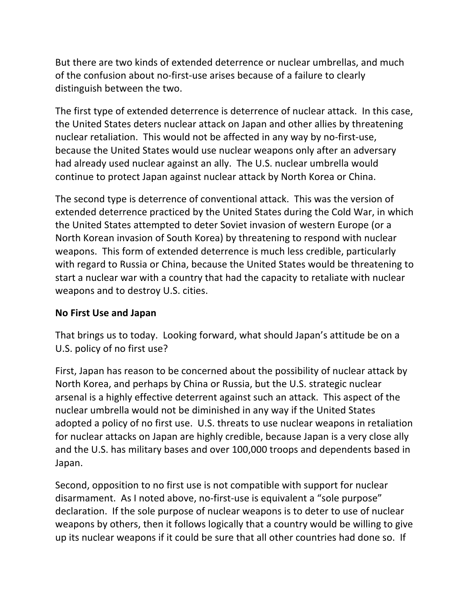But there are two kinds of extended deterrence or nuclear umbrellas, and much of the confusion about no-first-use arises because of a failure to clearly distinguish between the two.

The first type of extended deterrence is deterrence of nuclear attack. In this case, the United States deters nuclear attack on Japan and other allies by threatening nuclear retaliation. This would not be affected in any way by no-first-use, because the United States would use nuclear weapons only after an adversary had already used nuclear against an ally. The U.S. nuclear umbrella would continue to protect Japan against nuclear attack by North Korea or China.

The second type is deterrence of conventional attack. This was the version of extended deterrence practiced by the United States during the Cold War, in which the United States attempted to deter Soviet invasion of western Europe (or a North Korean invasion of South Korea) by threatening to respond with nuclear weapons. This form of extended deterrence is much less credible, particularly with regard to Russia or China, because the United States would be threatening to start a nuclear war with a country that had the capacity to retaliate with nuclear weapons and to destroy U.S. cities.

## **No First Use and Japan**

That brings us to today. Looking forward, what should Japan's attitude be on a U.S. policy of no first use?

First, Japan has reason to be concerned about the possibility of nuclear attack by North Korea, and perhaps by China or Russia, but the U.S. strategic nuclear arsenal is a highly effective deterrent against such an attack. This aspect of the nuclear umbrella would not be diminished in any way if the United States adopted a policy of no first use. U.S. threats to use nuclear weapons in retaliation for nuclear attacks on Japan are highly credible, because Japan is a very close ally and the U.S. has military bases and over 100,000 troops and dependents based in Japan. 

Second, opposition to no first use is not compatible with support for nuclear disarmament. As I noted above, no-first-use is equivalent a "sole purpose" declaration. If the sole purpose of nuclear weapons is to deter to use of nuclear weapons by others, then it follows logically that a country would be willing to give up its nuclear weapons if it could be sure that all other countries had done so. If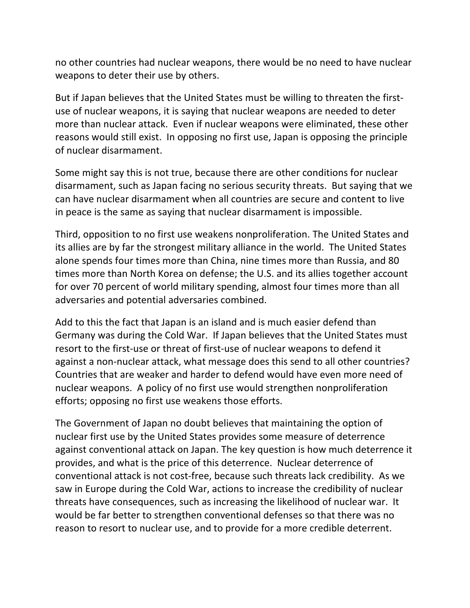no other countries had nuclear weapons, there would be no need to have nuclear weapons to deter their use by others.

But if Japan believes that the United States must be willing to threaten the firstuse of nuclear weapons, it is saying that nuclear weapons are needed to deter more than nuclear attack. Even if nuclear weapons were eliminated, these other reasons would still exist. In opposing no first use, Japan is opposing the principle of nuclear disarmament.

Some might say this is not true, because there are other conditions for nuclear disarmament, such as Japan facing no serious security threats. But saying that we can have nuclear disarmament when all countries are secure and content to live in peace is the same as saying that nuclear disarmament is impossible.

Third, opposition to no first use weakens nonproliferation. The United States and its allies are by far the strongest military alliance in the world. The United States alone spends four times more than China, nine times more than Russia, and 80 times more than North Korea on defense; the U.S. and its allies together account for over 70 percent of world military spending, almost four times more than all adversaries and potential adversaries combined.

Add to this the fact that Japan is an island and is much easier defend than Germany was during the Cold War. If Japan believes that the United States must resort to the first-use or threat of first-use of nuclear weapons to defend it against a non-nuclear attack, what message does this send to all other countries? Countries that are weaker and harder to defend would have even more need of nuclear weapons. A policy of no first use would strengthen nonproliferation efforts; opposing no first use weakens those efforts.

The Government of Japan no doubt believes that maintaining the option of nuclear first use by the United States provides some measure of deterrence against conventional attack on Japan. The key question is how much deterrence it provides, and what is the price of this deterrence. Nuclear deterrence of conventional attack is not cost-free, because such threats lack credibility. As we saw in Europe during the Cold War, actions to increase the credibility of nuclear threats have consequences, such as increasing the likelihood of nuclear war. It would be far better to strengthen conventional defenses so that there was no reason to resort to nuclear use, and to provide for a more credible deterrent.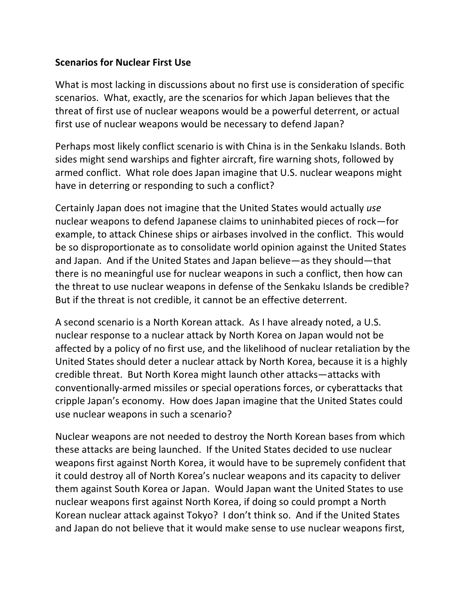## **Scenarios for Nuclear First Use**

What is most lacking in discussions about no first use is consideration of specific scenarios. What, exactly, are the scenarios for which Japan believes that the threat of first use of nuclear weapons would be a powerful deterrent, or actual first use of nuclear weapons would be necessary to defend Japan?

Perhaps most likely conflict scenario is with China is in the Senkaku Islands. Both sides might send warships and fighter aircraft, fire warning shots, followed by armed conflict. What role does Japan imagine that U.S. nuclear weapons might have in deterring or responding to such a conflict?

Certainly Japan does not imagine that the United States would actually use nuclear weapons to defend Japanese claims to uninhabited pieces of rock—for example, to attack Chinese ships or airbases involved in the conflict. This would be so disproportionate as to consolidate world opinion against the United States and Japan. And if the United States and Japan believe—as they should—that there is no meaningful use for nuclear weapons in such a conflict, then how can the threat to use nuclear weapons in defense of the Senkaku Islands be credible? But if the threat is not credible, it cannot be an effective deterrent.

A second scenario is a North Korean attack. As I have already noted, a U.S. nuclear response to a nuclear attack by North Korea on Japan would not be affected by a policy of no first use, and the likelihood of nuclear retaliation by the United States should deter a nuclear attack by North Korea, because it is a highly credible threat. But North Korea might launch other attacks—attacks with conventionally-armed missiles or special operations forces, or cyberattacks that cripple Japan's economy. How does Japan imagine that the United States could use nuclear weapons in such a scenario?

Nuclear weapons are not needed to destroy the North Korean bases from which these attacks are being launched. If the United States decided to use nuclear weapons first against North Korea, it would have to be supremely confident that it could destroy all of North Korea's nuclear weapons and its capacity to deliver them against South Korea or Japan. Would Japan want the United States to use nuclear weapons first against North Korea, if doing so could prompt a North Korean nuclear attack against Tokyo? I don't think so. And if the United States and Japan do not believe that it would make sense to use nuclear weapons first,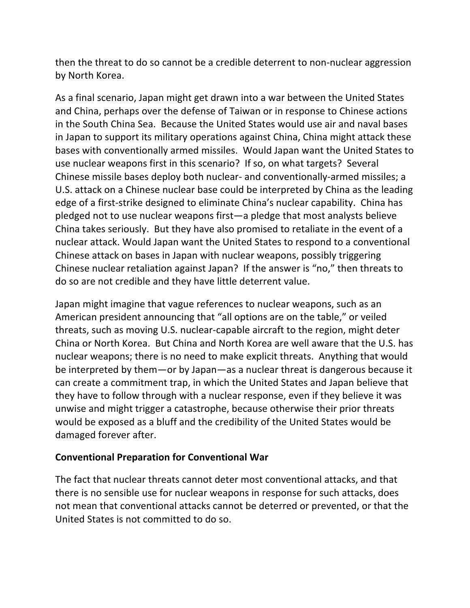then the threat to do so cannot be a credible deterrent to non-nuclear aggression by North Korea.

As a final scenario, Japan might get drawn into a war between the United States and China, perhaps over the defense of Taiwan or in response to Chinese actions in the South China Sea. Because the United States would use air and naval bases in Japan to support its military operations against China, China might attack these bases with conventionally armed missiles. Would Japan want the United States to use nuclear weapons first in this scenario? If so, on what targets? Several Chinese missile bases deploy both nuclear- and conventionally-armed missiles; a U.S. attack on a Chinese nuclear base could be interpreted by China as the leading edge of a first-strike designed to eliminate China's nuclear capability. China has pledged not to use nuclear weapons first—a pledge that most analysts believe China takes seriously. But they have also promised to retaliate in the event of a nuclear attack. Would Japan want the United States to respond to a conventional Chinese attack on bases in Japan with nuclear weapons, possibly triggering Chinese nuclear retaliation against Japan? If the answer is "no," then threats to do so are not credible and they have little deterrent value.

Japan might imagine that vague references to nuclear weapons, such as an American president announcing that "all options are on the table," or veiled threats, such as moving U.S. nuclear-capable aircraft to the region, might deter China or North Korea. But China and North Korea are well aware that the U.S. has nuclear weapons; there is no need to make explicit threats. Anything that would be interpreted by them—or by Japan—as a nuclear threat is dangerous because it can create a commitment trap, in which the United States and Japan believe that they have to follow through with a nuclear response, even if they believe it was unwise and might trigger a catastrophe, because otherwise their prior threats would be exposed as a bluff and the credibility of the United States would be damaged forever after.

## **Conventional Preparation for Conventional War**

The fact that nuclear threats cannot deter most conventional attacks, and that there is no sensible use for nuclear weapons in response for such attacks, does not mean that conventional attacks cannot be deterred or prevented, or that the United States is not committed to do so.